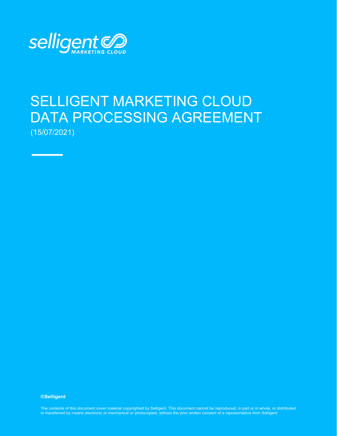

e e

# SELLIGENT MARKETING CLOUD DATA PROCESSING AGREEMENT (15/07/2021)

**©Selligent** 

*Selligent DPA for EU Clients - English Page | 1* The contents of this document cover material copyrighted by Selligent. This document cannot be reproduced, in part or in whole, or distributed *V1 July 2021 Confidential and Proprietary to Selligent Marketing Cloud* or transferred by means electronic or mechanical or photocopied, without the prior written consent of a representative from Selligent.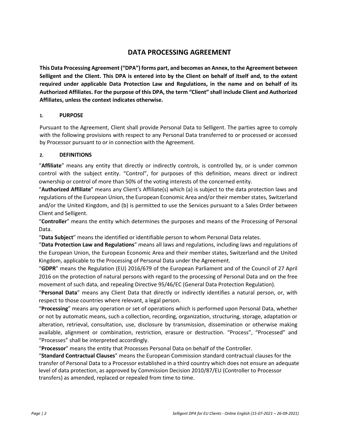# **DATA PROCESSING AGREEMENT**

**This Data Processing Agreement ("DPA") forms part, and becomes an Annex, to the Agreement between Selligent and the Client. This DPA is entered into by the Client on behalf of itself and, to the extent required under applicable Data Protection Law and Regulations, in the name and on behalf of its Authorized Affiliates. For the purpose of this DPA, the term "Client" shall include Client and Authorized Affiliates, unless the context indicates otherwise.**

# **1. PURPOSE**

Pursuant to the Agreement, Client shall provide Personal Data to Selligent. The parties agree to comply with the following provisions with respect to any Personal Data transferred to or processed or accessed by Processor pursuant to or in connection with the Agreement.

# **2. DEFINITIONS**

"**Affiliate**" means any entity that directly or indirectly controls, is controlled by, or is under common control with the subject entity. "Control", for purposes of this definition, means direct or indirect ownership or control of more than 50% of the voting interests of the concerned entity.

"**Authorized Affiliate**" means any Client's Affiliate(s) which (a) is subject to the data protection laws and regulations of the European Union, the European Economic Area and/or their member states, Switzerland and/or the United Kingdom, and (b) is permitted to use the Services pursuant to a Sales Order between Client and Selligent.

"**Controller**" means the entity which determines the purposes and means of the Processing of Personal Data.

"**Data Subject**" means the identified or identifiable person to whom Personal Data relates.

"**Data Protection Law and Regulations**" means all laws and regulations, including laws and regulations of the European Union, the European Economic Area and their member states, Switzerland and the United Kingdom, applicable to the Processing of Personal Data under the Agreement.

"**GDPR**" means the Regulation (EU) 2016/679 of the European Parliament and of the Council of 27 April 2016 on the protection of natural persons with regard to the processing of Personal Data and on the free movement of such data, and repealing Directive 95/46/EC (General Data Protection Regulation).

"**Personal Data**" means any Client Data that directly or indirectly identifies a natural person, or, with respect to those countries where relevant, a legal person.

"**Processing**" means any operation or set of operations which is performed upon Personal Data, whether or not by automatic means, such a collection, recording, organization, structuring, storage, adaptation or alteration, retrieval, consultation, use, disclosure by transmission, dissemination or otherwise making available, alignment or combination, restriction, erasure or destruction. "Process", "Processed" and "Processes" shall be interpreted accordingly.

"**Processor**" means the entity that Processes Personal Data on behalf of the Controller.

"**Standard Contractual Clauses**" means the European Commission standard contractual clauses for the transfer of Personal Data to a Processor established in a third country which does not ensure an adequate level of data protection, as approved by Commission Decision 2010/87/EU (Controller to Processor transfers) as amended, replaced or repealed from time to time.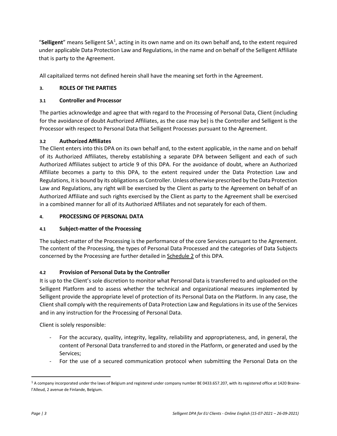"Selligent" means Selligent SA<sup>[1](#page-2-0)</sup>, acting in its own name and on its own behalf and, to the extent required under applicable Data Protection Law and Regulations, in the name and on behalf of the Selligent Affiliate that is party to the Agreement.

All capitalized terms not defined herein shall have the meaning set forth in the Agreement.

# **3. ROLES OF THE PARTIES**

# **3.1 Controller and Processor**

The parties acknowledge and agree that with regard to the Processing of Personal Data, Client (including for the avoidance of doubt Authorized Affiliates, as the case may be) is the Controller and Selligent is the Processor with respect to Personal Data that Selligent Processes pursuant to the Agreement.

# **3.2 Authorized Affiliates**

The Client enters into this DPA on its own behalf and, to the extent applicable, in the name and on behalf of its Authorized Affiliates, thereby establishing a separate DPA between Selligent and each of such Authorized Affiliates subject to article [9 o](#page-6-0)f this DPA. For the avoidance of doubt, where an Authorized Affiliate becomes a party to this DPA, to the extent required under the Data Protection Law and Regulations, it is bound by its obligations as Controller. Unless otherwise prescribed by the Data Protection Law and Regulations, any right will be exercised by the Client as party to the Agreement on behalf of an Authorized Affiliate and such rights exercised by the Client as party to the Agreement shall be exercised in a combined manner for all of its Authorized Affiliates and not separately for each of them.

# **4. PROCESSING OF PERSONAL DATA**

# **4.1 Subject-matter of the Processing**

The subject-matter of the Processing is the performance of the core Services pursuant to the Agreement. The content of the Processing, the types of Personal Data Processed and the categories of Data Subjects concerned by the Processing are further detailed in Schedule 2 of this DPA.

# **4.2 Provision of Personal Data by the Controller**

It is up to the Client's sole discretion to monitor what Personal Data is transferred to and uploaded on the Selligent Platform and to assess whether the technical and organizational measures implemented by Selligent provide the appropriate level of protection of its Personal Data on the Platform. In any case, the Client shall comply with the requirements of Data Protection Law and Regulations in its use of the Services and in any instruction for the Processing of Personal Data.

Client is solely responsible:

- For the accuracy, quality, integrity, legality, reliability and appropriateness, and, in general, the content of Personal Data transferred to and stored in the Platform, or generated and used by the Services;
- For the use of a secured communication protocol when submitting the Personal Data on the

<span id="page-2-0"></span><sup>&</sup>lt;sup>1</sup> A company incorporated under the laws of Belgium and registered under company number BE 0433.657.207, with its registered office at 1420 Brainel'Alleud, 2 avenue de Finlande, Belgium.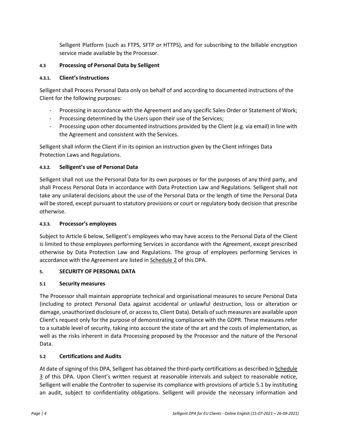Selligent Platform (such as FTPS, SFTP or HTTPS), and for subscribing to the billable encryption service made available by the Processor.

#### **4.3 Processing of Personal Data by Selligent**

#### **4.3.1. Client's Instructions**

Selligent shall Process Personal Data only on behalf of and according to documented instructions of the Client for the following purposes:

- Processing in accordance with the Agreement and any specific Sales Order or Statement of Work;
- Processing determined by the Users upon their use of the Services;
- Processing upon other documented instructions provided by the Client (e.g. via email) in line with the Agreement and consistent with the Services.

Selligent shall inform the Client if in its opinion an instruction given by the Client infringes Data Protection Laws and Regulations.

# **4.3.2. Selligent's use of Personal Data**

Selligent shall not use the Personal Data for its own purposes or for the purposes of any third party, and shall Process Personal Data in accordance with Data Protection Law and Regulations. Selligent shall not take any unilateral decisions about the use of the Personal Data or the length of time the Personal Data will be stored, except pursuant to statutory provisions or court or regulatory body decision that prescribe otherwise.

#### **4.3.3. Processor's employees**

Subject to Article 6 below, Selligent's employees who may have access to the Personal Data of the Client is limited to those employees performing Services in accordance with the Agreement, except prescribed otherwise by Data Protection Law and Regulations. The group of employees performing Services in accordance with the Agreement are listed in Schedule 2 of this DPA.

# **5. SECURITY OF PERSONAL DATA**

# <span id="page-3-0"></span>**5.1 Security measures**

The Processor shall maintain appropriate technical and organisational measures to secure Personal Data (including to protect Personal Data against accidental or unlawful destruction, loss or alteration or damage, unauthorized disclosure of, or access to, Client Data). Details of such measures are available upon Client's request only for the purpose of demonstrating compliance with the GDPR. These measures refer to a suitable level of security, taking into account the state of the art and the costs of implementation, as well as the risks inherent in data Processing proposed by the Processor and the nature of the Personal Data.

# **5.2 Certifications and Audits**

At date of signing of this DPA, Selligent has obtained the third-party certifications as described in Schedule 3 of this DPA. Upon Client's written request at reasonable intervals and subject to reasonable notice, Selligent will enable the Controller to supervise its compliance with provisions of article [5.1 b](#page-3-0)y instituting an audit, subject to confidentiality obligations. Selligent will provide the necessary information and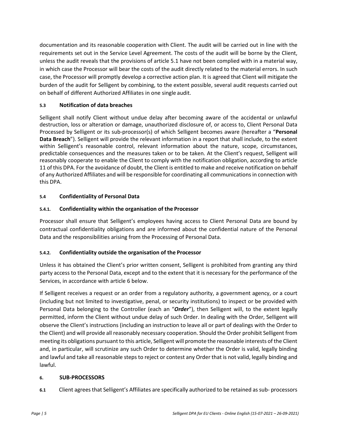documentation and its reasonable cooperation with Client. The audit will be carried out in line with the requirements set out in the Service Level Agreement. The costs of the audit will be borne by the Client, unless the audit reveals that the provisions of article [5.1](#page-3-0) have not been complied with in a material way, in which case the Processor will bear the costs of the audit directly related to the material errors. In such case, the Processor will promptly develop a corrective action plan. It is agreed that Client will mitigate the burden of the audit for Selligent by combining, to the extent possible, several audit requests carried out on behalf of different Authorized Affiliates in one single audit.

# **5.3 Notification of data breaches**

Selligent shall notify Client without undue delay after becoming aware of the accidental or unlawful destruction, loss or alteration or damage, unauthorized disclosure of, or access to, Client Personal Data Processed by Selligent or its sub-processor(s) of which Selligent becomes aware (hereafter a "**Personal Data Breach**"). Selligent will provide the relevant information in a report that shall include, to the extent within Selligent's reasonable control, relevant information about the nature, scope, circumstances, predictable consequences and the measures taken or to be taken. At the Client's request, Selligent will reasonably cooperate to enable the Client to comply with the notification obligation, according to article [11 o](#page-7-0)f this DPA. For the avoidance of doubt, the Client is entitled to make and receive notification on behalf of any Authorized Affiliates and will be responsible for coordinating all communications in connection with this DPA.

# **5.4 Confidentiality of Personal Data**

# **5.4.1. Confidentiality within the organisation of the Processor**

Processor shall ensure that Selligent's employees having access to Client Personal Data are bound by contractual confidentiality obligations and are informed about the confidential nature of the Personal Data and the responsibilities arising from the Processing of Personal Data.

#### **5.4.2. Confidentiality outside the organisation of the Processor**

Unless it has obtained the Client's prior written consent, Selligent is prohibited from granting any third party access to the Personal Data, except and to the extent that it is necessary for the performance of the Services, in accordance with article [6 b](#page-4-0)elow.

If Selligent receives a request or an order from a regulatory authority, a government agency, or a court (including but not limited to investigative, penal, or security institutions) to inspect or be provided with Personal Data belonging to the Controller (each an "*Order*"), then Selligent will, to the extent legally permitted, inform the Client without undue delay of such Order. In dealing with the Order, Selligent will observe the Client's instructions (including an instruction to leave all or part of dealings with the Order to the Client) and will provide all reasonably necessary cooperation. Should the Order prohibit Selligent from meeting its obligations pursuant to this article, Selligent will promote the reasonable interests of the Client and, in particular, will scrutinize any such Order to determine whether the Order is valid, legally binding and lawful and take all reasonable steps to reject or contest any Order that is not valid, legally binding and lawful.

#### <span id="page-4-0"></span>**6. SUB-PROCESSORS**

**6.1** Client agrees that Selligent's Affiliates are specifically authorized to be retained as sub- processors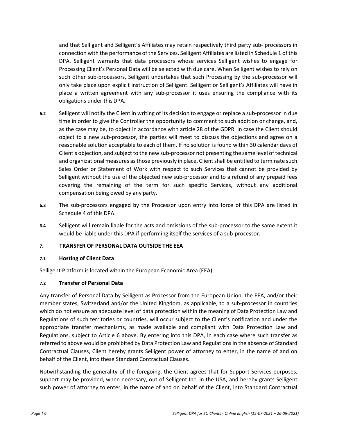and that Selligent and Selligent's Affiliates may retain respectively third party sub- processors in connection with the performance of the Services. Selligent Affiliates are listed in Schedule 1 of this DPA. Selligent warrants that data processors whose services Selligent wishes to engage for Processing Client's Personal Data will be selected with due care. When Selligent wishes to rely on such other sub-processors, Selligent undertakes that such Processing by the sub-processor will only take place upon explicit instruction of Selligent. Selligent or Selligent's Affiliates will have in place a written agreement with any sub-processor it uses ensuring the compliance with its obligations under this DPA.

- **6.2** Selligent will notify the Client in writing of its decision to engage or replace a sub-processor in due time in order to give the Controller the opportunity to comment to such addition or change, and, as the case may be, to object in accordance with article 28 of the GDPR. In case the Client should object to a new sub-processor, the parties will meet to discuss the objections and agree on a reasonable solution acceptable to each of them. If no solution is found within 30 calendar days of Client's objection, and subject to the new sub-processor not presenting the same level of technical and organizational measures as those previously in place, Client shall be entitled to terminate such Sales Order or Statement of Work with respect to such Services that cannot be provided by Selligent without the use of the objected new sub-processor and to a refund of any prepaid fees covering the remaining of the term for such specific Services, without any additional compensation being owed by any party.
- **6.3** The sub-processors engaged by the Processor upon entry into force of this DPA are listed in Schedule 4 of this DPA.
- **6.4** Selligent will remain liable for the acts and omissions of the sub-processor to the same extent it would be liable under this DPA if performing itself the services of a sub-processor.

#### **7. TRANSFER OF PERSONAL DATA OUTSIDE THE EEA**

#### **7.1 Hosting of Client Data**

Selligent Platform is located within the European Economic Area (EEA).

#### **7.2 Transfer of Personal Data**

Any transfer of Personal Data by Selligent as Processor from the European Union, the EEA, and/or their member states, Switzerland and/or the United Kingdom, as applicable, to a sub-processor in countries which do not ensure an adequate level of data protection within the meaning of Data Protection Law and Regulations of such territories or countries, will occur subject to the Client's notification and under the appropriate transfer mechanisms, as made available and compliant with Data Protection Law and Regulations, subject to Article 6 above. By entering into this DPA, in each case where such transfer as referred to above would be prohibited by Data Protection Law and Regulations in the absence of Standard Contractual Clauses, Client hereby grants Selligent power of attorney to enter, in the name of and on behalf of the Client, into these Standard Contractual Clauses.

Notwithstanding the generality of the foregoing, the Client agrees that for Support Services purposes, support may be provided, when necessary, out of Selligent Inc. in the USA, and hereby grants Selligent such power of attorney to enter, in the name of and on behalf of the Client, into Standard Contractual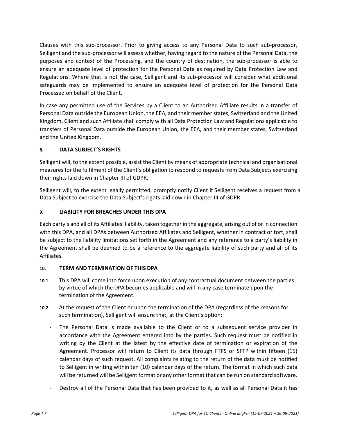Clauses with this sub-processor. Prior to giving access to any Personal Data to such sub-processor, Selligent and the sub-processor will assess whether, having regard to the nature of the Personal Data, the purposes and context of the Processing, and the country of destination, the sub-processor is able to ensure an adequate level of protection for the Personal Data as required by Data Protection Law and Regulations. Where that is not the case, Selligent and its sub-processor will consider what additional safeguards may be implemented to ensure an adequate level of protection for the Personal Data Processed on behalf of the Client.

In case any permitted use of the Services by a Client to an Authorised Affiliate results in a transfer of Personal Data outside the European Union, the EEA, and their member states, Switzerland and the United Kingdom, Client and such Affiliate shall comply with all Data Protection Law and Regulations applicable to transfers of Personal Data outside the European Union, the EEA, and their member states, Switzerland and the United Kingdom.

# <span id="page-6-1"></span>**8. DATA SUBJECT'S RIGHTS**

Selligent will, to the extent possible, assist the Client by means of appropriate technical and organisational measures for the fulfilment of the Client's obligation to respond to requests from Data Subjects exercising their rights laid down in Chapter III of GDPR.

Selligent will, to the extent legally permitted, promptly notify Client if Selligent receives a request from a Data Subject to exercise the Data Subject's rights laid down in Chapter III of GDPR.

# <span id="page-6-0"></span>**9. LIABILITY FOR BREACHES UNDER THIS DPA**

Each party's and all of its Affiliates' liability, taken together in the aggregate, arising out of or in connection with this DPA, and all DPAs between Authorized Affiliates and Selligent, whether in contract or tort, shall be subject to the liability limitations set forth in the Agreement and any reference to a party's liability in the Agreement shall be deemed to be a reference to the aggregate liability of such party and all of its Affiliates.

# **10. TERM AND TERMINATION OF THIS DPA**

- **10.1** This DPA will come into force upon execution of any contractual document between the parties by virtue of which the DPA becomes applicable and will in any case terminate upon the termination of the Agreement.
- **10.2** At the request of the Client or upon the termination of the DPA (regardless of the reasons for such termination), Selligent will ensure that, at the Client's option:
	- The Personal Data is made available to the Client or to a subsequent service provider in accordance with the Agreement entered into by the parties. Such request must be notified in writing by the Client at the latest by the effective date of termination or expiration of the Agreement. Processor will return to Client its data through FTPS or SFTP within fifteen (15) calendar days of such request. All complaints relating to the return of the data must be notified to Selligent in writing within ten (10) calendar days of the return. The format in which such data will be returned will be Selligent format or any other format that can be run on standard software.
	- Destroy all of the Personal Data that has been provided to it, as well as all Personal Data it has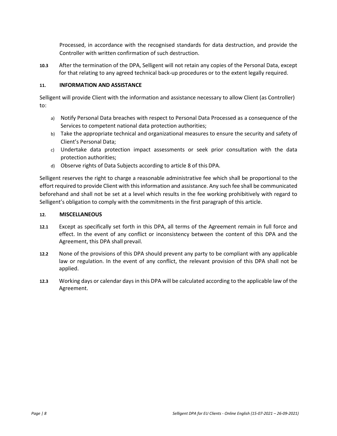Processed, in accordance with the recognised standards for data destruction, and provide the Controller with written confirmation of such destruction.

**10.3** After the termination of the DPA, Selligent will not retain any copies of the Personal Data, except for that relating to any agreed technical back-up procedures or to the extent legally required.

#### <span id="page-7-0"></span>**11. INFORMATION AND ASSISTANCE**

Selligent will provide Client with the information and assistance necessary to allow Client (as Controller) to:

- a) Notify Personal Data breaches with respect to Personal Data Processed as a consequence of the Services to competent national data protection authorities;
- b) Take the appropriate technical and organizational measures to ensure the security and safety of Client's Personal Data;
- c) Undertake data protection impact assessments or seek prior consultation with the data protection authorities;
- d) Observe rights of Data Subjects according to article [8 o](#page-6-1)f this DPA.

Selligent reserves the right to charge a reasonable administrative fee which shall be proportional to the effort required to provide Client with this information and assistance. Any such fee shall be communicated beforehand and shall not be set at a level which results in the fee working prohibitively with regard to Selligent's obligation to comply with the commitments in the first paragraph of this article.

#### **12. MISCELLANEOUS**

- **12.1** Except as specifically set forth in this DPA, all terms of the Agreement remain in full force and effect. In the event of any conflict or inconsistency between the content of this DPA and the Agreement, this DPA shall prevail.
- **12.2** None of the provisions of this DPA should prevent any party to be compliant with any applicable law or regulation. In the event of any conflict, the relevant provision of this DPA shall not be applied.
- **12.3** Working days or calendar days in this DPA will be calculated according to the applicable law of the Agreement.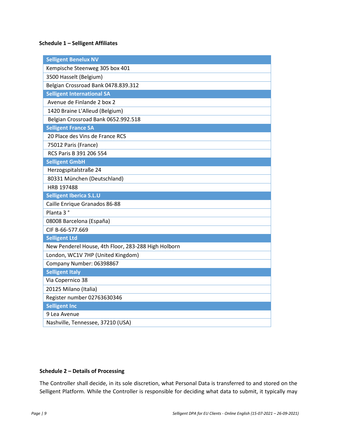# **Schedule 1 – Selligent Affiliates**

| <b>Selligent Benelux NV</b>                         |
|-----------------------------------------------------|
| Kempische Steenweg 305 box 401                      |
| 3500 Hasselt (Belgium)                              |
| Belgian Crossroad Bank 0478.839.312                 |
| <b>Selligent International SA</b>                   |
| Avenue de Finlande 2 box 2                          |
| 1420 Braine L'Alleud (Belgium)                      |
| Belgian Crossroad Bank 0652.992.518                 |
| <b>Selligent France SA</b>                          |
| 20 Place des Vins de France RCS                     |
| 75012 Paris (France)                                |
| RCS Paris B 391 206 554                             |
| <b>Selligent GmbH</b>                               |
| Herzogspitalstraße 24                               |
| 80331 München (Deutschland)                         |
| HRB 197488                                          |
|                                                     |
| <b>Selligent Iberica S.L.U</b>                      |
| Caille Enrique Granados 86-88                       |
| Planta 3°                                           |
| 08008 Barcelona (España)                            |
| CIF B-66-577.669                                    |
| <b>Selligent Ltd</b>                                |
| New Penderel House, 4th Floor, 283-288 High Holborn |
| London, WC1V 7HP (United Kingdom)                   |
| Company Number: 06398867                            |
| <b>Selligent Italy</b>                              |
| Via Copernico 38                                    |
| 20125 Milano (Italia)                               |
| Register number 02763630346                         |
| <b>Selligent Inc</b>                                |
| 9 Lea Avenue                                        |

#### **Schedule 2 – Details of Processing**

The Controller shall decide, in its sole discretion, what Personal Data is transferred to and stored on the Selligent Platform. While the Controller is responsible for deciding what data to submit, it typically may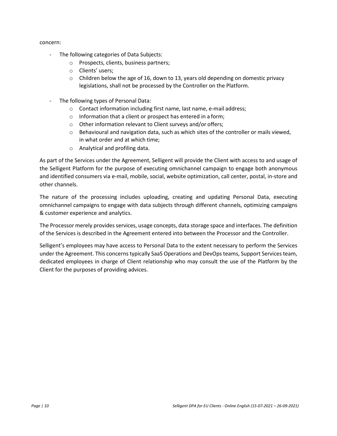#### concern:

- The following categories of Data Subjects:
	- o Prospects, clients, business partners;
	- o Clients' users;
	- $\circ$  Children below the age of 16, down to 13, years old depending on domestic privacy legislations, shall not be processed by the Controller on the Platform.
- The following types of Personal Data:
	- o Contact information including first name, last name, e-mail address;
	- o Information that a client or prospect has entered in a form;
	- o Other information relevant to Client surveys and/or offers;
	- $\circ$  Behavioural and navigation data, such as which sites of the controller or mails viewed, in what order and at which time;
	- o Analytical and profiling data.

As part of the Services under the Agreement, Selligent will provide the Client with access to and usage of the Selligent Platform for the purpose of executing omnichannel campaign to engage both anonymous and identified consumers via e-mail, mobile, social, website optimization, call center, postal, in-store and other channels.

The nature of the processing includes uploading, creating and updating Personal Data, executing omnichannel campaigns to engage with data subjects through different channels, optimizing campaigns & customer experience and analytics.

The Processor merely provides services, usage concepts, data storage space and interfaces. The definition of the Services is described in the Agreement entered into between the Processor and the Controller.

Selligent's employees may have access to Personal Data to the extent necessary to perform the Services under the Agreement. This concerns typically SaaS Operations and DevOps teams, Support Services team, dedicated employees in charge of Client relationship who may consult the use of the Platform by the Client for the purposes of providing advices.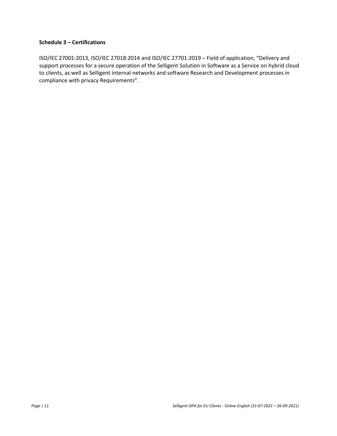#### **Schedule 3 – Certifications**

ISO/IEC 27001:2013, ISO/IEC 27018:2014 and ISO/IEC 27701:2019 – Field of application, "Delivery and support processes for a secure operation of the Selligent Solution in Software as a Service on hybrid cloud to clients, as well as Selligent internal networks and software Research and Development processes in compliance with privacy Requirements".